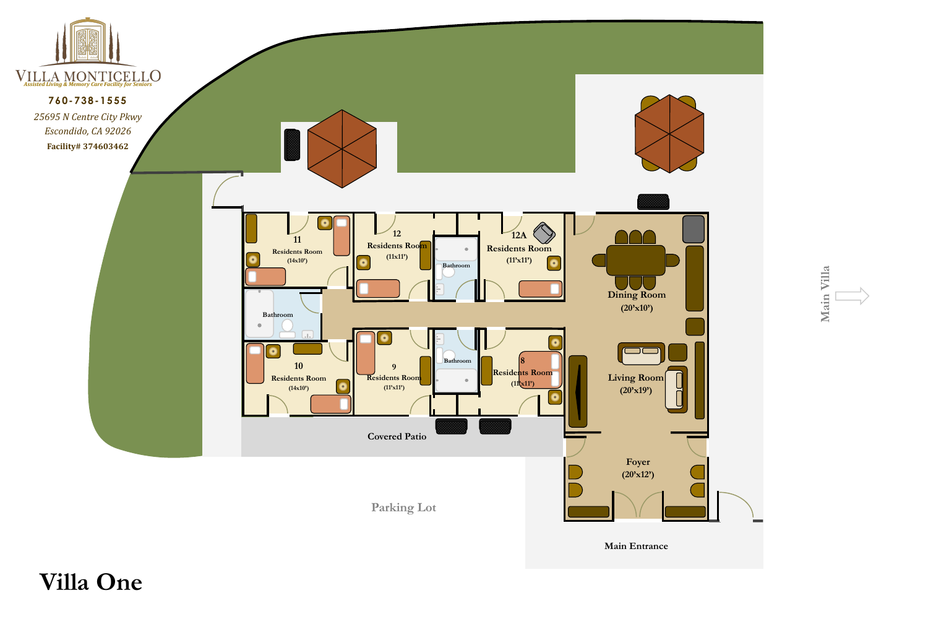## **Villa One**



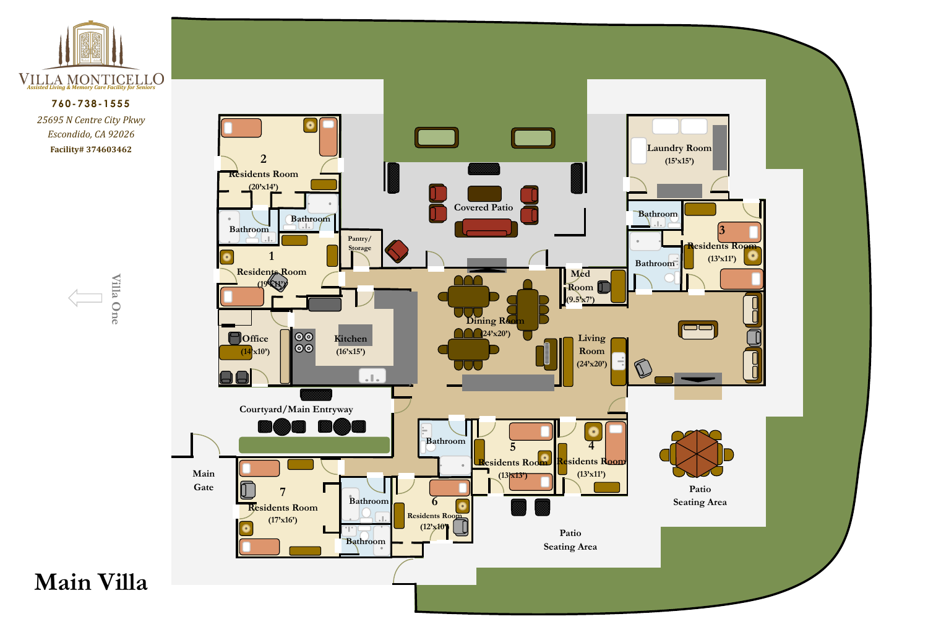





### **760-738-1555**

*25695 N Centre City Pkwy Escondido, CA 92026* **Facility# 374603462**

# **Main Villa**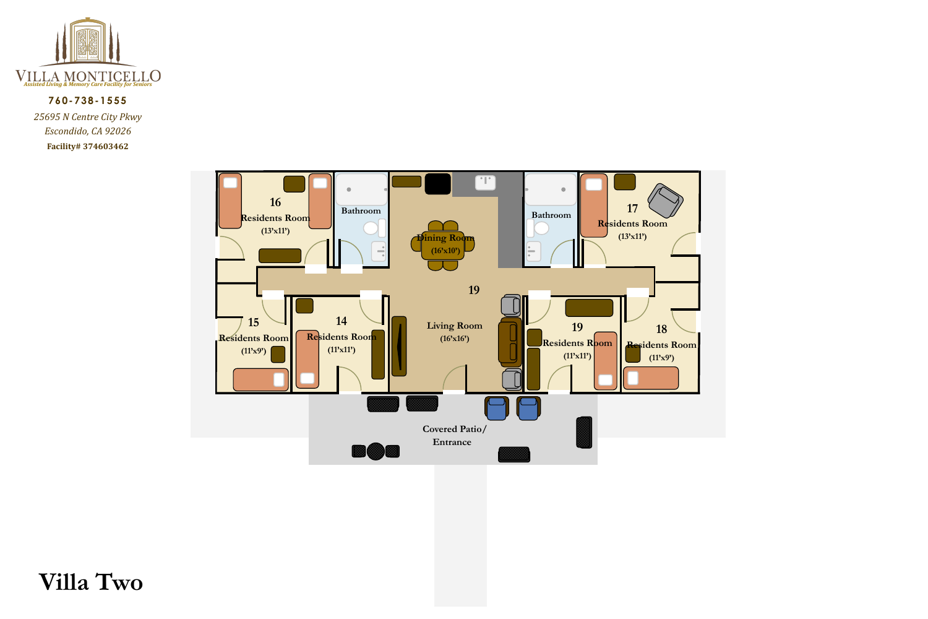



#### **760-738-1555**

*25695 N Centre City Pkwy Escondido, CA 92026* **Facility# 374603462**